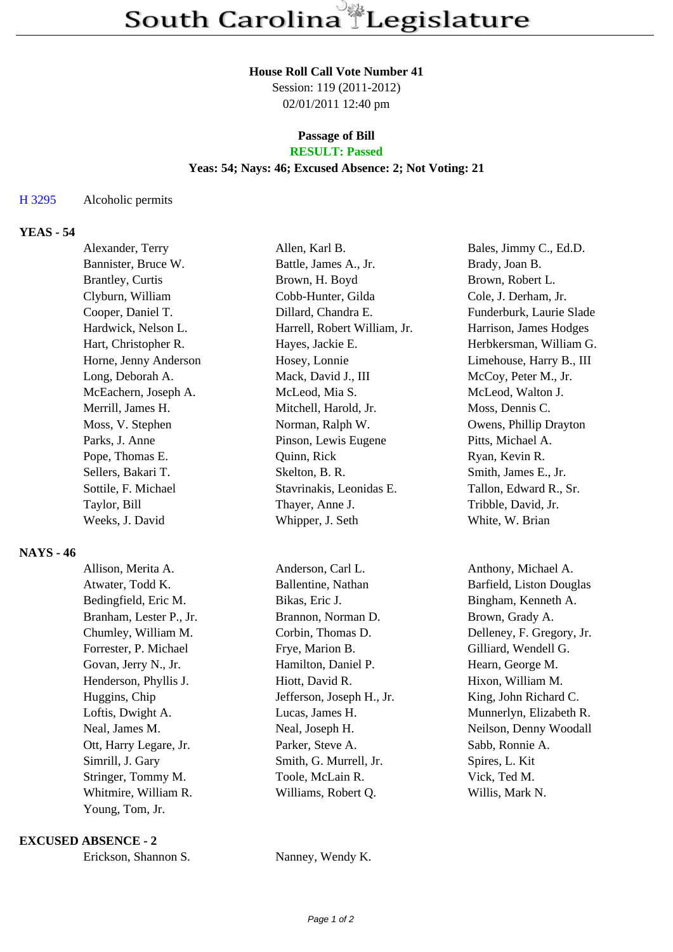#### **House Roll Call Vote Number 41**

Session: 119 (2011-2012) 02/01/2011 12:40 pm

#### **Passage of Bill RESULT: Passed**

## **Yeas: 54; Nays: 46; Excused Absence: 2; Not Voting: 21**

### H 3295 Alcoholic permits

# **YEAS - 54**

| Alexander, Terry        | Allen, Karl B.               | Bales, Jimmy C., Ed.D.   |
|-------------------------|------------------------------|--------------------------|
| Bannister, Bruce W.     | Battle, James A., Jr.        | Brady, Joan B.           |
| <b>Brantley, Curtis</b> | Brown, H. Boyd               | Brown, Robert L.         |
| Clyburn, William        | Cobb-Hunter, Gilda           | Cole, J. Derham, Jr.     |
| Cooper, Daniel T.       | Dillard, Chandra E.          | Funderburk, Laurie Slade |
| Hardwick, Nelson L.     | Harrell, Robert William, Jr. | Harrison, James Hodges   |
| Hart, Christopher R.    | Hayes, Jackie E.             | Herbkersman, William G.  |
| Horne, Jenny Anderson   | Hosey, Lonnie                | Limehouse, Harry B., III |
| Long, Deborah A.        | Mack, David J., III          | McCoy, Peter M., Jr.     |
| McEachern, Joseph A.    | McLeod, Mia S.               | McLeod, Walton J.        |
| Merrill, James H.       | Mitchell, Harold, Jr.        | Moss, Dennis C.          |
| Moss, V. Stephen        | Norman, Ralph W.             | Owens, Phillip Drayton   |
| Parks, J. Anne          | Pinson, Lewis Eugene         | Pitts, Michael A.        |
| Pope, Thomas E.         | Quinn, Rick                  | Ryan, Kevin R.           |
| Sellers, Bakari T.      | Skelton, B. R.               | Smith, James E., Jr.     |
| Sottile, F. Michael     | Stavrinakis, Leonidas E.     | Tallon, Edward R., Sr.   |
| Taylor, Bill            | Thayer, Anne J.              | Tribble, David, Jr.      |
| Weeks, J. David         | Whipper, J. Seth             | White, W. Brian          |

### **NAYS - 46**

| Allison, Merita A.      | Anderson, Carl L.         | Anthony, Michael A.       |
|-------------------------|---------------------------|---------------------------|
| Atwater, Todd K.        | Ballentine, Nathan        | Barfield, Liston Douglas  |
| Bedingfield, Eric M.    | Bikas, Eric J.            | Bingham, Kenneth A.       |
| Branham, Lester P., Jr. | Brannon, Norman D.        | Brown, Grady A.           |
| Chumley, William M.     | Corbin, Thomas D.         | Delleney, F. Gregory, Jr. |
| Forrester, P. Michael   | Frye, Marion B.           | Gilliard, Wendell G.      |
| Govan, Jerry N., Jr.    | Hamilton, Daniel P.       | Hearn, George M.          |
| Henderson, Phyllis J.   | Hiott, David R.           | Hixon, William M.         |
| Huggins, Chip           | Jefferson, Joseph H., Jr. | King, John Richard C.     |
| Loftis, Dwight A.       | Lucas, James H.           | Munnerlyn, Elizabeth R.   |
| Neal, James M.          | Neal, Joseph H.           | Neilson, Denny Woodall    |
| Ott, Harry Legare, Jr.  | Parker, Steve A.          | Sabb, Ronnie A.           |
| Simrill, J. Gary        | Smith, G. Murrell, Jr.    | Spires, L. Kit            |
| Stringer, Tommy M.      | Toole, McLain R.          | Vick, Ted M.              |
| Whitmire, William R.    | Williams, Robert Q.       | Willis, Mark N.           |
| Young, Tom, Jr.         |                           |                           |

### **EXCUSED ABSENCE - 2**

Erickson, Shannon S. Nanney, Wendy K.